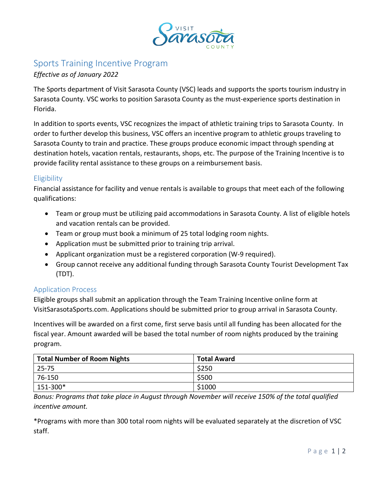

# Sports Training Incentive Program

## *Effective as of January 2022*

The Sports department of Visit Sarasota County (VSC) leads and supports the sports tourism industry in Sarasota County. VSC works to position Sarasota County as the must-experience sports destination in Florida.

In addition to sports events, VSC recognizes the impact of athletic training trips to Sarasota County. In order to further develop this business, VSC offers an incentive program to athletic groups traveling to Sarasota County to train and practice. These groups produce economic impact through spending at destination hotels, vacation rentals, restaurants, shops, etc. The purpose of the Training Incentive is to provide facility rental assistance to these groups on a reimbursement basis.

# **Eligibility**

Financial assistance for facility and venue rentals is available to groups that meet each of the following qualifications:

- Team or group must be utilizing paid accommodations in Sarasota County. A list of eligible hotels and vacation rentals can be provided.
- Team or group must book a minimum of 25 total lodging room nights.
- Application must be submitted prior to training trip arrival.
- Applicant organization must be a registered corporation (W-9 required).
- Group cannot receive any additional funding through Sarasota County Tourist Development Tax (TDT).

### Application Process

Eligible groups shall submit an application through the Team Training Incentive online form at VisitSarasotaSports.com. Applications should be submitted prior to group arrival in Sarasota County.

Incentives will be awarded on a first come, first serve basis until all funding has been allocated for the fiscal year. Amount awarded will be based the total number of room nights produced by the training program.

| <b>Total Number of Room Nights</b> | <b>Total Award</b> |
|------------------------------------|--------------------|
| $25 - 75$                          | \$250              |
| 76-150                             | \$500              |
| $151-300*$                         | \$1000             |

*Bonus: Programs that take place in August through November will receive 150% of the total qualified incentive amount.*

\*Programs with more than 300 total room nights will be evaluated separately at the discretion of VSC staff.